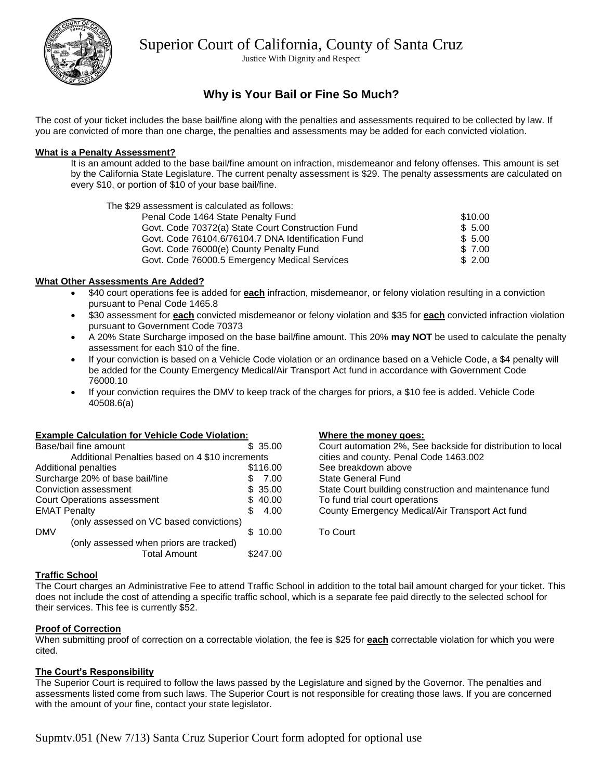

Justice With Dignity and Respect

## **Why is Your Bail or Fine So Much?**

The cost of your ticket includes the base bail/fine along with the penalties and assessments required to be collected by law. If you are convicted of more than one charge, the penalties and assessments may be added for each convicted violation.

## **What is a Penalty Assessment?**

It is an amount added to the base bail/fine amount on infraction, misdemeanor and felony offenses. This amount is set by the California State Legislature. The current penalty assessment is \$29. The penalty assessments are calculated on every \$10, or portion of \$10 of your base bail/fine.

The \$29 assessment is calculated as follows: Penal Code 1464 State Penalty Fund \$10.00 Govt. Code 70372(a) State Court Construction Fund  $$5.00$ <br>Govt. Code 76104.6/76104.7 DNA Identification Fund  $$5.00$ Govt. Code 76104.6/76104.7 DNA Identification Fund Govt. Code 76000(e) County Penalty Fund \$ 7.00 Govt. Code 76000.5 Emergency Medical Services  $$ 2.00$ 

## **What Other Assessments Are Added?**

- \$40 court operations fee is added for **each** infraction, misdemeanor, or felony violation resulting in a conviction pursuant to Penal Code 1465.8
- \$30 assessment for **each** convicted misdemeanor or felony violation and \$35 for **each** convicted infraction violation pursuant to Government Code 70373
- A 20% State Surcharge imposed on the base bail/fine amount. This 20% **may NOT** be used to calculate the penalty assessment for each \$10 of the fine.
- If your conviction is based on a Vehicle Code violation or an ordinance based on a Vehicle Code, a \$4 penalty will be added for the County Emergency Medical/Air Transport Act fund in accordance with Government Code 76000.10
- If your conviction requires the DMV to keep track of the charges for priors, a \$10 fee is added. Vehicle Code 40508.6(a)

#### **Example Calculation for Vehicle Code Violation:**

| Base/bail fine amount                           | \$35.00  |  |  |
|-------------------------------------------------|----------|--|--|
| Additional Penalties based on 4 \$10 increments |          |  |  |
| Additional penalties                            | \$116.00 |  |  |
| Surcharge 20% of base bail/fine                 | 7.00     |  |  |
| Conviction assessment                           | \$35.00  |  |  |
| <b>Court Operations assessment</b>              | \$40.00  |  |  |
| <b>EMAT Penalty</b>                             | 4.00     |  |  |
| (only assessed on VC based convictions)         |          |  |  |
| <b>DMV</b>                                      | 10.00    |  |  |
| (only assessed when priors are tracked)         |          |  |  |
| <b>Total Amount</b>                             | '47.00   |  |  |

#### **Where the money goes:**

| Court automation 2%, See backside for distribution to local |
|-------------------------------------------------------------|
| cities and county. Penal Code 1463.002                      |
| See breakdown above                                         |
| State General Fund                                          |
| State Court building construction and maintenance fund      |
| To fund trial court operations                              |
| County Emergency Medical/Air Transport Act fund             |
|                                                             |
| To Court                                                    |

#### **Traffic School**

The Court charges an Administrative Fee to attend Traffic School in addition to the total bail amount charged for your ticket. This does not include the cost of attending a specific traffic school, which is a separate fee paid directly to the selected school for their services. This fee is currently \$52.

#### **Proof of Correction**

When submitting proof of correction on a correctable violation, the fee is \$25 for **each** correctable violation for which you were cited.

## **The Court's Responsibility**

The Superior Court is required to follow the laws passed by the Legislature and signed by the Governor. The penalties and assessments listed come from such laws. The Superior Court is not responsible for creating those laws. If you are concerned with the amount of your fine, contact your state legislator.